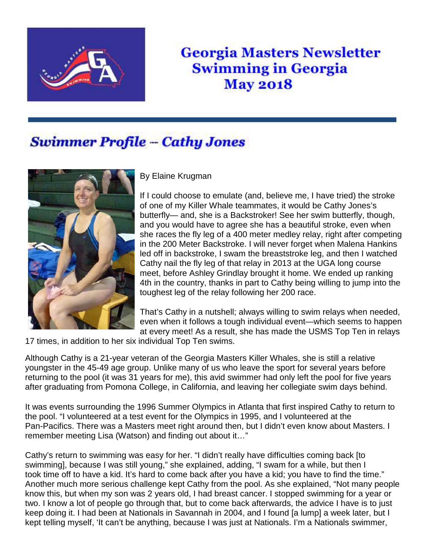

## **Georgia Masters Newsletter Swimming in Georgia May 2018**

## **Swimmer Profile - Cathy Jones**



By Elaine Krugman

If I could choose to emulate (and, believe me, I have tried) the stroke of one of my Killer Whale teammates, it would be Cathy Jones's butterfly— and, she is a Backstroker! See her swim butterfly, though, and you would have to agree she has a beautiful stroke, even when she races the fly leg of a 400 meter medley relay, right after competing in the 200 Meter Backstroke. I will never forget when Malena Hankins led off in backstroke, I swam the breaststroke leg, and then I watched Cathy nail the fly leg of that relay in 2013 at the UGA long course meet, before Ashley Grindlay brought it home. We ended up ranking 4th in the country, thanks in part to Cathy being willing to jump into the toughest leg of the relay following her 200 race.

That's Cathy in a nutshell; always willing to swim relays when needed, even when it follows a tough individual event—which seems to happen at every meet! As a result, she has made the USMS Top Ten in relays

17 times, in addition to her six individual Top Ten swims.

Although Cathy is a 21-year veteran of the Georgia Masters Killer Whales, she is still a relative youngster in the 45-49 age group. Unlike many of us who leave the sport for several years before returning to the pool (it was 31 years for me), this avid swimmer had only left the pool for five years after graduating from Pomona College, in California, and leaving her collegiate swim days behind.

It was events surrounding the 1996 Summer Olympics in Atlanta that first inspired Cathy to return to the pool. "I volunteered at a test event for the Olympics in 1995, and I volunteered at the Pan-Pacifics. There was a Masters meet right around then, but I didn't even know about Masters. I remember meeting Lisa (Watson) and finding out about it…"

Cathy's return to swimming was easy for her. "I didn't really have difficulties coming back [to swimming], because I was still young," she explained, adding, "I swam for a while, but then I took time off to have a kid. It's hard to come back after you have a kid; you have to find the time." Another much more serious challenge kept Cathy from the pool. As she explained, "Not many people know this, but when my son was 2 years old, I had breast cancer. I stopped swimming for a year or two. I know a lot of people go through that, but to come back afterwards, the advice I have is to just keep doing it. I had been at Nationals in Savannah in 2004, and I found [a lump] a week later, but I kept telling myself, 'It can't be anything, because I was just at Nationals. I'm a Nationals swimmer,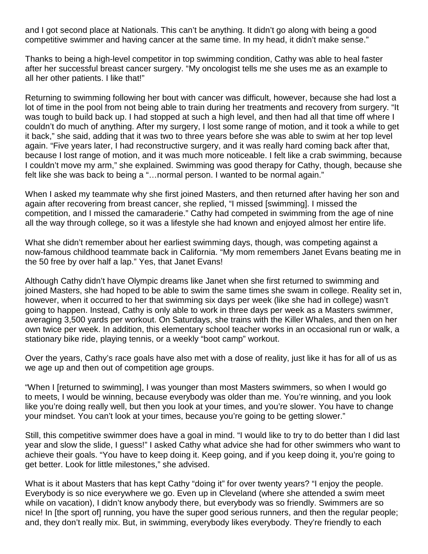and I got second place at Nationals. This can't be anything. It didn't go along with being a good competitive swimmer and having cancer at the same time. In my head, it didn't make sense."

Thanks to being a high-level competitor in top swimming condition, Cathy was able to heal faster after her successful breast cancer surgery. "My oncologist tells me she uses me as an example to all her other patients. I like that!"

Returning to swimming following her bout with cancer was difficult, however, because she had lost a lot of time in the pool from not being able to train during her treatments and recovery from surgery. "It was tough to build back up. I had stopped at such a high level, and then had all that time off where I couldn't do much of anything. After my surgery, I lost some range of motion, and it took a while to get it back," she said, adding that it was two to three years before she was able to swim at her top level again. "Five years later, I had reconstructive surgery, and it was really hard coming back after that, because I lost range of motion, and it was much more noticeable. I felt like a crab swimming, because I couldn't move my arm," she explained. Swimming was good therapy for Cathy, though, because she felt like she was back to being a "…normal person. I wanted to be normal again."

When I asked my teammate why she first joined Masters, and then returned after having her son and again after recovering from breast cancer, she replied, "I missed [swimming]. I missed the competition, and I missed the camaraderie." Cathy had competed in swimming from the age of nine all the way through college, so it was a lifestyle she had known and enjoyed almost her entire life.

What she didn't remember about her earliest swimming days, though, was competing against a now-famous childhood teammate back in California. "My mom remembers Janet Evans beating me in the 50 free by over half a lap." Yes, that Janet Evans!

Although Cathy didn't have Olympic dreams like Janet when she first returned to swimming and joined Masters, she had hoped to be able to swim the same times she swam in college. Reality set in, however, when it occurred to her that swimming six days per week (like she had in college) wasn't going to happen. Instead, Cathy is only able to work in three days per week as a Masters swimmer, averaging 3,500 yards per workout. On Saturdays, she trains with the Killer Whales, and then on her own twice per week. In addition, this elementary school teacher works in an occasional run or walk, a stationary bike ride, playing tennis, or a weekly "boot camp" workout.

Over the years, Cathy's race goals have also met with a dose of reality, just like it has for all of us as we age up and then out of competition age groups.

"When I [returned to swimming], I was younger than most Masters swimmers, so when I would go to meets, I would be winning, because everybody was older than me. You're winning, and you look like you're doing really well, but then you look at your times, and you're slower. You have to change your mindset. You can't look at your times, because you're going to be getting slower."

Still, this competitive swimmer does have a goal in mind. "I would like to try to do better than I did last year and slow the slide, I guess!" I asked Cathy what advice she had for other swimmers who want to achieve their goals. "You have to keep doing it. Keep going, and if you keep doing it, you're going to get better. Look for little milestones," she advised.

What is it about Masters that has kept Cathy "doing it" for over twenty years? "I enjoy the people. Everybody is so nice everywhere we go. Even up in Cleveland (where she attended a swim meet while on vacation), I didn't know anybody there, but everybody was so friendly. Swimmers are so nice! In [the sport of] running, you have the super good serious runners, and then the regular people; and, they don't really mix. But, in swimming, everybody likes everybody. They're friendly to each